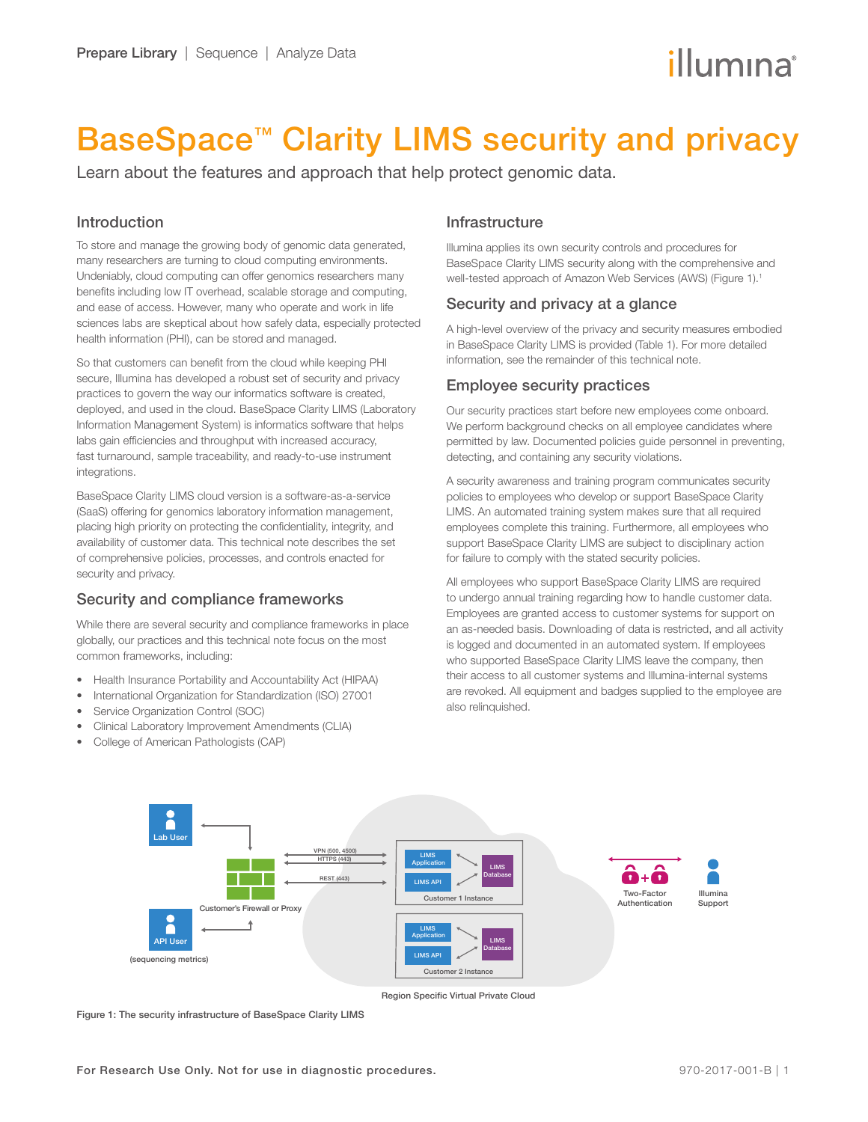# illumına

## BaseSpace<sup>™</sup> Clarity LIMS security and privacy

Learn about the features and approach that help protect genomic data.

## Introduction

To store and manage the growing body of genomic data generated, many researchers are turning to cloud computing environments. Undeniably, cloud computing can offer genomics researchers many benefits including low IT overhead, scalable storage and computing, and ease of access. However, many who operate and work in life sciences labs are skeptical about how safely data, especially protected health information (PHI), can be stored and managed.

So that customers can benefit from the cloud while keeping PHI secure, Illumina has developed a robust set of security and privacy practices to govern the way our informatics software is created, deployed, and used in the cloud. BaseSpace Clarity LIMS (Laboratory Information Management System) is informatics software that helps labs gain efficiencies and throughput with increased accuracy, fast turnaround, sample traceability, and ready-to-use instrument integrations.

BaseSpace Clarity LIMS cloud version is a software-as-a-service (SaaS) offering for genomics laboratory information management, placing high priority on protecting the confidentiality, integrity, and availability of customer data. This technical note describes the set of comprehensive policies, processes, and controls enacted for security and privacy.

## Security and compliance frameworks

While there are several security and compliance frameworks in place globally, our practices and this technical note focus on the most common frameworks, including:

- Health Insurance Portability and Accountability Act (HIPAA)
- International Organization for Standardization (ISO) 27001
- Service Organization Control (SOC)
- Clinical Laboratory Improvement Amendments (CLIA)
- College of American Pathologists (CAP)  $\Theta$

## Infrastructure

Illumina applies its own security controls and procedures for BaseSpace Clarity LIMS security along with the comprehensive and well-tested approach of Amazon Web Services (AWS) (Figure 1).<sup>1</sup>

## Security and privacy at a glance

A high-level overview of the privacy and security measures embodied in BaseSpace Clarity LIMS is provided (Table 1). For more detailed information, see the remainder of this technical note.

## Employee security practices

Our security practices start before new employees come onboard. We perform background checks on all employee candidates where permitted by law. Documented policies guide personnel in preventing, detecting, and containing any security violations.

A security awareness and training program communicates security policies to employees who develop or support BaseSpace Clarity LIMS. An automated training system makes sure that all required employees complete this training. Furthermore, all employees who support BaseSpace Clarity LIMS are subject to disciplinary action for failure to comply with the stated security policies.

All employees who support BaseSpace Clarity LIMS are required to undergo annual training regarding how to handle customer data. Employees are granted access to customer systems for support on an as-needed basis. Downloading of data is restricted, and all activity is logged and documented in an automated system. If employees who supported BaseSpace Clarity LIMS leave the company, then their access to all customer systems and Illumina-internal systems are revoked. All equipment and badges supplied to the employee are also relinquished.



Region Specific Virtual Private Cloud

Figure 1: The security infrastructure of BaseSpace Clarity LIMS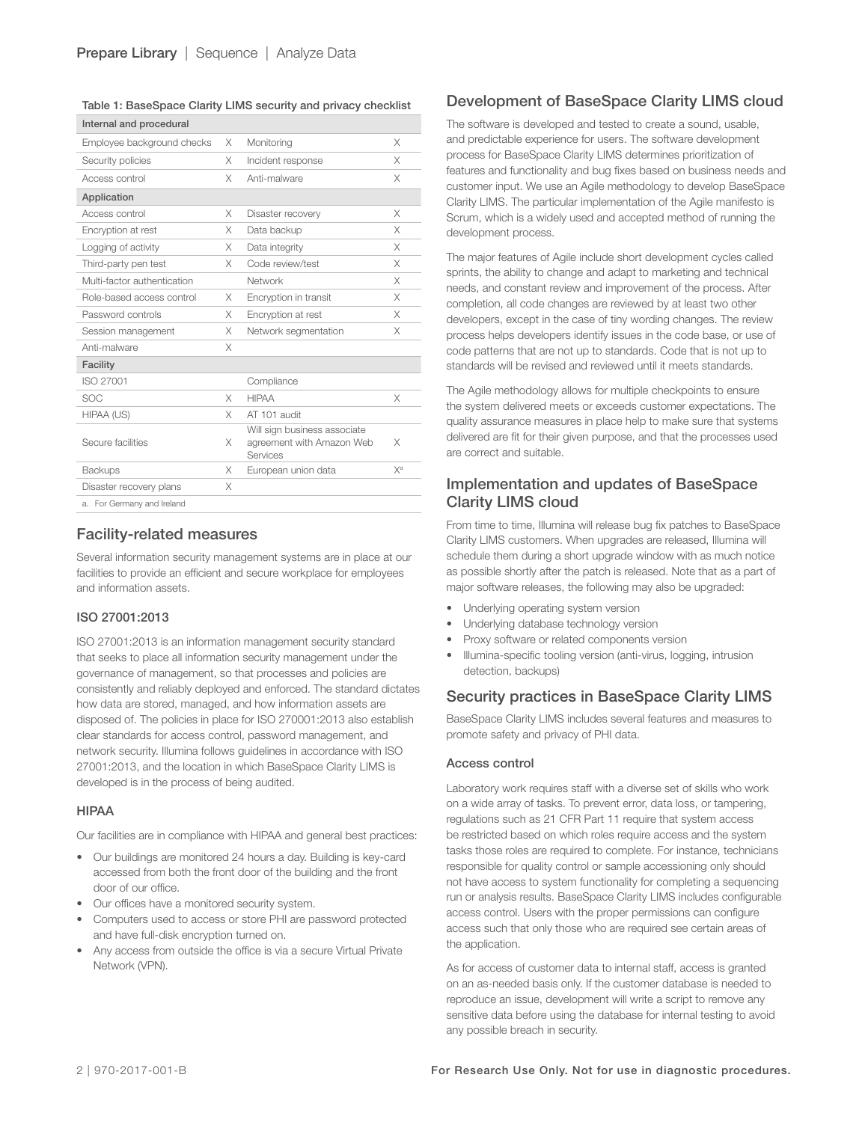#### Table 1: BaseSpace Clarity LIMS security and privacy checklist

| Internal and procedural     |          |                                                                       |                |
|-----------------------------|----------|-----------------------------------------------------------------------|----------------|
| Employee background checks  | X        | Monitoring                                                            | X              |
| Security policies           | X        | Incident response                                                     | X              |
| Access control              | X        | Anti-malware                                                          | X              |
| Application                 |          |                                                                       |                |
| Access control              | X        | Disaster recovery                                                     | X              |
| Encryption at rest          | X        | Data backup                                                           | X              |
| Logging of activity         | X        | Data integrity                                                        | X              |
| Third-party pen test        | X        | Code review/test                                                      | X              |
| Multi-factor authentication |          | Network                                                               | X              |
| Role-based access control   | X        | Encryption in transit                                                 | X              |
| Password controls           | X        | Encryption at rest                                                    | X              |
| Session management          | X        | Network segmentation                                                  | X              |
| Anti-malware                | X        |                                                                       |                |
| Facility                    |          |                                                                       |                |
| ISO 27001                   |          | Compliance                                                            |                |
| <b>SOC</b>                  | X        | <b>HIPAA</b>                                                          | X              |
| HIPAA (US)                  | $\times$ | AT 101 audit                                                          |                |
| Secure facilities           | X        | Will sign business associate<br>agreement with Amazon Web<br>Services | X              |
| <b>Backups</b>              | X        | European union data                                                   | Х <sup>а</sup> |
| Disaster recovery plans     | X        |                                                                       |                |
| a. For Germany and Ireland  |          |                                                                       |                |

## Facility-related measures

Several information security management systems are in place at our facilities to provide an efficient and secure workplace for employees and information assets.

#### ISO 27001:2013

ISO 27001:2013 is an information management security standard that seeks to place all information security management under the governance of management, so that processes and policies are consistently and reliably deployed and enforced. The standard dictates how data are stored, managed, and how information assets are disposed of. The policies in place for ISO 270001:2013 also establish clear standards for access control, password management, and network security. Illumina follows guidelines in accordance with ISO 27001:2013, and the location in which BaseSpace Clarity LIMS is developed is in the process of being audited.

#### HIPAA

Our facilities are in compliance with HIPAA and general best practices:

- Our buildings are monitored 24 hours a day. Building is key-card accessed from both the front door of the building and the front door of our office.
- Our offices have a monitored security system.
- Computers used to access or store PHI are password protected and have full-disk encryption turned on.
- Any access from outside the office is via a secure Virtual Private Network (VPN).

### Development of BaseSpace Clarity LIMS cloud

The software is developed and tested to create a sound, usable, and predictable experience for users. The software development process for BaseSpace Clarity LIMS determines prioritization of features and functionality and bug fixes based on business needs and customer input. We use an Agile methodology to develop BaseSpace Clarity LIMS. The particular implementation of the Agile manifesto is Scrum, which is a widely used and accepted method of running the development process.

The major features of Agile include short development cycles called sprints, the ability to change and adapt to marketing and technical needs, and constant review and improvement of the process. After completion, all code changes are reviewed by at least two other developers, except in the case of tiny wording changes. The review process helps developers identify issues in the code base, or use of code patterns that are not up to standards. Code that is not up to standards will be revised and reviewed until it meets standards.

The Agile methodology allows for multiple checkpoints to ensure the system delivered meets or exceeds customer expectations. The quality assurance measures in place help to make sure that systems delivered are fit for their given purpose, and that the processes used are correct and suitable.

## Implementation and updates of BaseSpace Clarity LIMS cloud

From time to time, Illumina will release bug fix patches to BaseSpace Clarity LIMS customers. When upgrades are released, Illumina will schedule them during a short upgrade window with as much notice as possible shortly after the patch is released. Note that as a part of major software releases, the following may also be upgraded:

- Underlying operating system version
- Underlying database technology version
- Proxy software or related components version
- Illumina-specific tooling version (anti-virus, logging, intrusion detection, backups)

## Security practices in BaseSpace Clarity LIMS

BaseSpace Clarity LIMS includes several features and measures to promote safety and privacy of PHI data.

#### Access control

Laboratory work requires staff with a diverse set of skills who work on a wide array of tasks. To prevent error, data loss, or tampering, regulations such as 21 CFR Part 11 require that system access be restricted based on which roles require access and the system tasks those roles are required to complete. For instance, technicians responsible for quality control or sample accessioning only should not have access to system functionality for completing a sequencing run or analysis results. BaseSpace Clarity LIMS includes configurable access control. Users with the proper permissions can configure access such that only those who are required see certain areas of the application.

As for access of customer data to internal staff, access is granted on an as-needed basis only. If the customer database is needed to reproduce an issue, development will write a script to remove any sensitive data before using the database for internal testing to avoid any possible breach in security.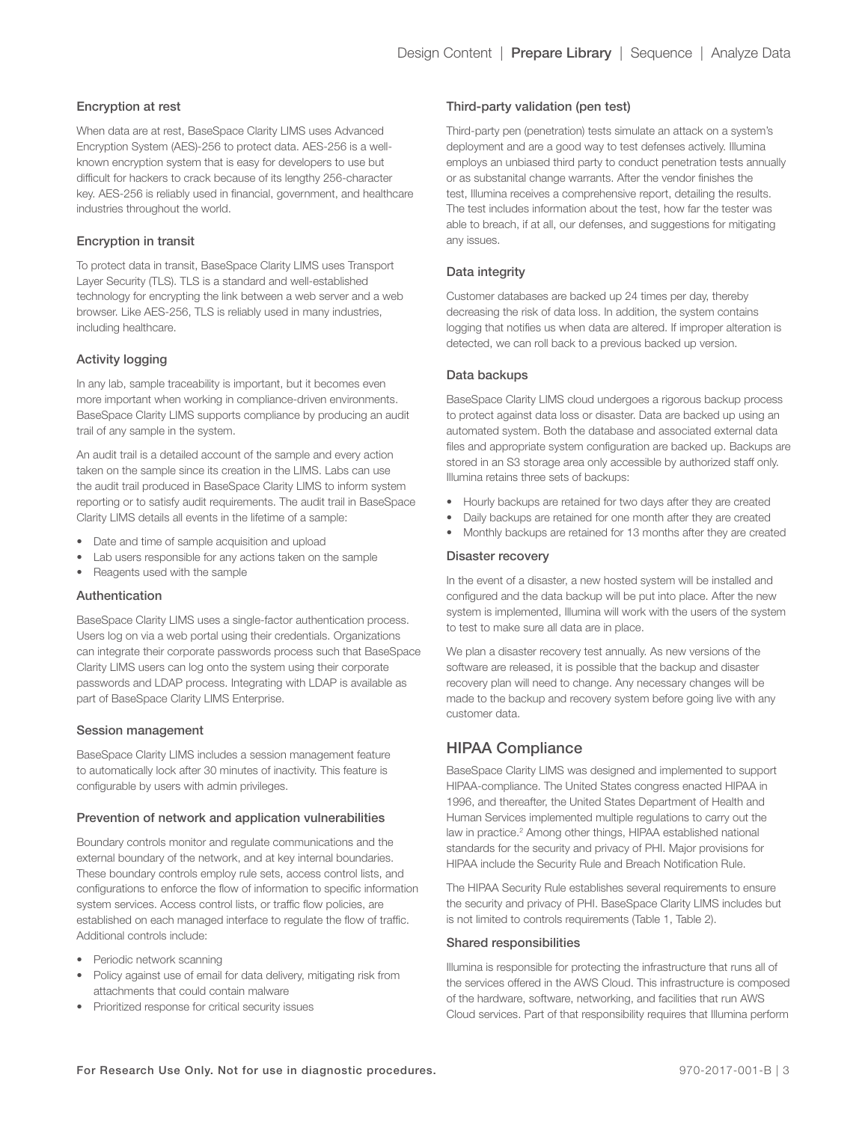#### Encryption at rest

When data are at rest, BaseSpace Clarity LIMS uses Advanced Encryption System (AES)-256 to protect data. AES-256 is a wellknown encryption system that is easy for developers to use but difficult for hackers to crack because of its lengthy 256-character key. AES-256 is reliably used in financial, government, and healthcare industries throughout the world.

#### Encryption in transit

To protect data in transit, BaseSpace Clarity LIMS uses Transport Layer Security (TLS). TLS is a standard and well-established technology for encrypting the link between a web server and a web browser. Like AES-256, TLS is reliably used in many industries, including healthcare.

#### Activity logging

In any lab, sample traceability is important, but it becomes even more important when working in compliance-driven environments. BaseSpace Clarity LIMS supports compliance by producing an audit trail of any sample in the system.

An audit trail is a detailed account of the sample and every action taken on the sample since its creation in the LIMS. Labs can use the audit trail produced in BaseSpace Clarity LIMS to inform system reporting or to satisfy audit requirements. The audit trail in BaseSpace Clarity LIMS details all events in the lifetime of a sample:

- Date and time of sample acquisition and upload
- Lab users responsible for any actions taken on the sample
- Reagents used with the sample

#### Authentication

BaseSpace Clarity LIMS uses a single-factor authentication process. Users log on via a web portal using their credentials. Organizations can integrate their corporate passwords process such that BaseSpace Clarity LIMS users can log onto the system using their corporate passwords and LDAP process. Integrating with LDAP is available as part of BaseSpace Clarity LIMS Enterprise.

#### Session management

BaseSpace Clarity LIMS includes a session management feature to automatically lock after 30 minutes of inactivity. This feature is configurable by users with admin privileges.

#### Prevention of network and application vulnerabilities

Boundary controls monitor and regulate communications and the external boundary of the network, and at key internal boundaries. These boundary controls employ rule sets, access control lists, and configurations to enforce the flow of information to specific information system services. Access control lists, or traffic flow policies, are established on each managed interface to regulate the flow of traffic. Additional controls include:

- Periodic network scanning
- Policy against use of email for data delivery, mitigating risk from attachments that could contain malware
- Prioritized response for critical security issues

#### Third-party validation (pen test)

Third-party pen (penetration) tests simulate an attack on a system's deployment and are a good way to test defenses actively. Illumina employs an unbiased third party to conduct penetration tests annually or as substanital change warrants. After the vendor finishes the test, Illumina receives a comprehensive report, detailing the results. The test includes information about the test, how far the tester was able to breach, if at all, our defenses, and suggestions for mitigating any issues.

#### Data integrity

Customer databases are backed up 24 times per day, thereby decreasing the risk of data loss. In addition, the system contains logging that notifies us when data are altered. If improper alteration is detected, we can roll back to a previous backed up version.

#### Data backups

BaseSpace Clarity LIMS cloud undergoes a rigorous backup process to protect against data loss or disaster. Data are backed up using an automated system. Both the database and associated external data files and appropriate system configuration are backed up. Backups are stored in an S3 storage area only accessible by authorized staff only. Illumina retains three sets of backups:

- Hourly backups are retained for two days after they are created
- Daily backups are retained for one month after they are created
- Monthly backups are retained for 13 months after they are created

#### Disaster recovery

In the event of a disaster, a new hosted system will be installed and configured and the data backup will be put into place. After the new system is implemented, Illumina will work with the users of the system to test to make sure all data are in place.

We plan a disaster recovery test annually. As new versions of the software are released, it is possible that the backup and disaster recovery plan will need to change. Any necessary changes will be made to the backup and recovery system before going live with any customer data.

## HIPAA Compliance

BaseSpace Clarity LIMS was designed and implemented to support HIPAA-compliance. The United States congress enacted HIPAA in 1996, and thereafter, the United States Department of Health and Human Services implemented multiple regulations to carry out the law in practice.<sup>2</sup> Among other things, HIPAA established national standards for the security and privacy of PHI. Major provisions for HIPAA include the Security Rule and Breach Notification Rule.

The HIPAA Security Rule establishes several requirements to ensure the security and privacy of PHI. BaseSpace Clarity LIMS includes but is not limited to controls requirements (Table 1, Table 2).

#### Shared responsibilities

Illumina is responsible for protecting the infrastructure that runs all of the services offered in the AWS Cloud. This infrastructure is composed of the hardware, software, networking, and facilities that run AWS Cloud services. Part of that responsibility requires that Illumina perform